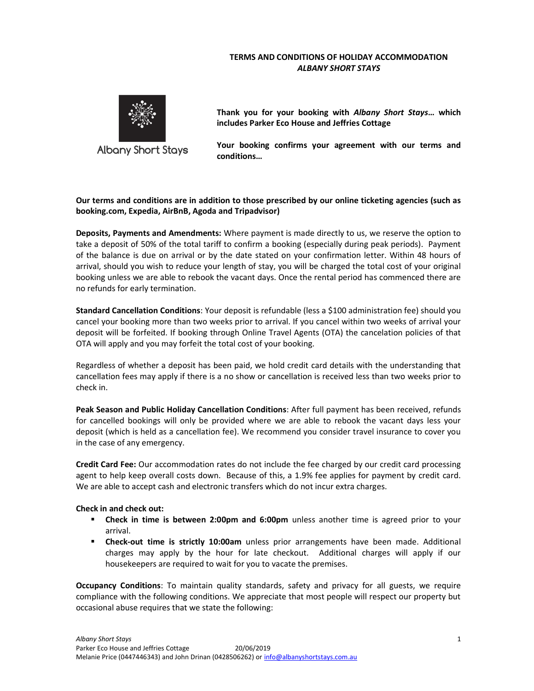## TERMS AND CONDITIONS OF HOLIDAY ACCOMMODATION ALBANY SHORT STAYS



Thank you for your booking with Albany Short Stays... which includes Parker Eco House and Jeffries Cottage

Your booking confirms your agreement with our terms and conditions…

## Our terms and conditions are in addition to those prescribed by our online ticketing agencies (such as booking.com, Expedia, AirBnB, Agoda and Tripadvisor)

Deposits, Payments and Amendments: Where payment is made directly to us, we reserve the option to take a deposit of 50% of the total tariff to confirm a booking (especially during peak periods). Payment of the balance is due on arrival or by the date stated on your confirmation letter. Within 48 hours of arrival, should you wish to reduce your length of stay, you will be charged the total cost of your original booking unless we are able to rebook the vacant days. Once the rental period has commenced there are no refunds for early termination.

Standard Cancellation Conditions: Your deposit is refundable (less a \$100 administration fee) should you cancel your booking more than two weeks prior to arrival. If you cancel within two weeks of arrival your deposit will be forfeited. If booking through Online Travel Agents (OTA) the cancelation policies of that OTA will apply and you may forfeit the total cost of your booking.

Regardless of whether a deposit has been paid, we hold credit card details with the understanding that cancellation fees may apply if there is a no show or cancellation is received less than two weeks prior to check in.

Peak Season and Public Holiday Cancellation Conditions: After full payment has been received, refunds for cancelled bookings will only be provided where we are able to rebook the vacant days less your deposit (which is held as a cancellation fee). We recommend you consider travel insurance to cover you in the case of any emergency.

Credit Card Fee: Our accommodation rates do not include the fee charged by our credit card processing agent to help keep overall costs down. Because of this, a 1.9% fee applies for payment by credit card. We are able to accept cash and electronic transfers which do not incur extra charges.

## Check in and check out:

- Check in time is between 2:00pm and 6:00pm unless another time is agreed prior to your arrival.
- **Check-out time is strictly 10:00am** unless prior arrangements have been made. Additional charges may apply by the hour for late checkout. Additional charges will apply if our housekeepers are required to wait for you to vacate the premises.

Occupancy Conditions: To maintain quality standards, safety and privacy for all guests, we require compliance with the following conditions. We appreciate that most people will respect our property but occasional abuse requires that we state the following: